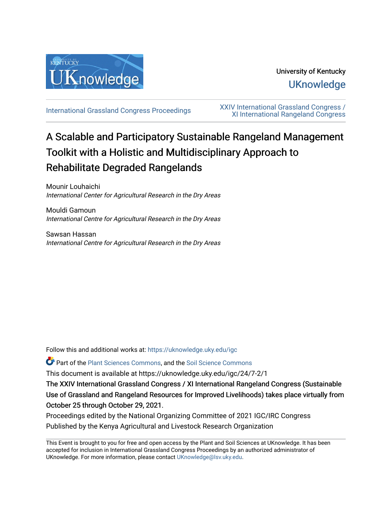

## University of Kentucky **UKnowledge**

[International Grassland Congress Proceedings](https://uknowledge.uky.edu/igc) [XXIV International Grassland Congress /](https://uknowledge.uky.edu/igc/24)  [XI International Rangeland Congress](https://uknowledge.uky.edu/igc/24) 

# A Scalable and Participatory Sustainable Rangeland Management Toolkit with a Holistic and Multidisciplinary Approach to Rehabilitate Degraded Rangelands

Mounir Louhaichi International Center for Agricultural Research in the Dry Areas

Mouldi Gamoun International Centre for Agricultural Research in the Dry Areas

Sawsan Hassan International Centre for Agricultural Research in the Dry Areas

Follow this and additional works at: [https://uknowledge.uky.edu/igc](https://uknowledge.uky.edu/igc?utm_source=uknowledge.uky.edu%2Figc%2F24%2F7-2%2F1&utm_medium=PDF&utm_campaign=PDFCoverPages) 

Part of the [Plant Sciences Commons](http://network.bepress.com/hgg/discipline/102?utm_source=uknowledge.uky.edu%2Figc%2F24%2F7-2%2F1&utm_medium=PDF&utm_campaign=PDFCoverPages), and the [Soil Science Commons](http://network.bepress.com/hgg/discipline/163?utm_source=uknowledge.uky.edu%2Figc%2F24%2F7-2%2F1&utm_medium=PDF&utm_campaign=PDFCoverPages) 

This document is available at https://uknowledge.uky.edu/igc/24/7-2/1

The XXIV International Grassland Congress / XI International Rangeland Congress (Sustainable Use of Grassland and Rangeland Resources for Improved Livelihoods) takes place virtually from October 25 through October 29, 2021.

Proceedings edited by the National Organizing Committee of 2021 IGC/IRC Congress Published by the Kenya Agricultural and Livestock Research Organization

This Event is brought to you for free and open access by the Plant and Soil Sciences at UKnowledge. It has been accepted for inclusion in International Grassland Congress Proceedings by an authorized administrator of UKnowledge. For more information, please contact [UKnowledge@lsv.uky.edu](mailto:UKnowledge@lsv.uky.edu).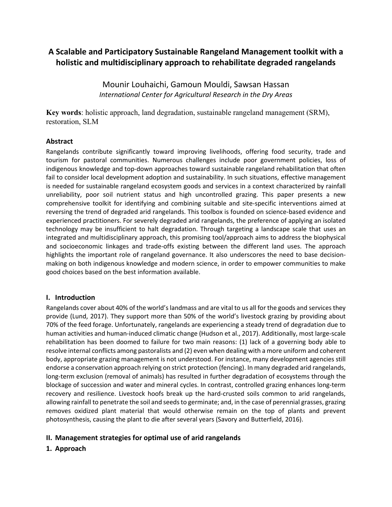### **A Scalable and Participatory Sustainable Rangeland Management toolkit with a holistic and multidisciplinary approach to rehabilitate degraded rangelands**

Mounir Louhaichi, Gamoun Mouldi, Sawsan Hassan *International Center for Agricultural Research in the Dry Areas*

**Key words**: holistic approach, land degradation, sustainable rangeland management (SRM), restoration, SLM

#### **Abstract**

Rangelands contribute significantly toward improving livelihoods, offering food security, trade and tourism for pastoral communities. Numerous challenges include poor government policies, loss of indigenous knowledge and top-down approaches toward sustainable rangeland rehabilitation that often fail to consider local development adoption and sustainability. In such situations, effective management is needed for sustainable rangeland ecosystem goods and services in a context characterized by rainfall unreliability, poor soil nutrient status and high uncontrolled grazing. This paper presents a new comprehensive toolkit for identifying and combining suitable and site-specific interventions aimed at reversing the trend of degraded arid rangelands. This toolbox is founded on science-based evidence and experienced practitioners. For severely degraded arid rangelands, the preference of applying an isolated technology may be insufficient to halt degradation. Through targeting a landscape scale that uses an integrated and multidisciplinary approach, this promising tool/approach aims to address the biophysical and socioeconomic linkages and trade-offs existing between the different land uses. The approach highlights the important role of rangeland governance. It also underscores the need to base decisionmaking on both indigenous knowledge and modern science, in order to empower communities to make good choices based on the best information available.

#### **I. Introduction**

Rangelands cover about 40% of the world's landmass and are vital to us all for the goods and services they provide (Lund, 2017). They support more than 50% of the world's livestock grazing by providing about 70% of the feed forage. Unfortunately, rangelands are experiencing a steady trend of degradation due to human activities and human-induced climatic change (Hudson et al., 2017). Additionally, most large-scale rehabilitation has been doomed to failure for two main reasons: (1) lack of a governing body able to resolve internal conflicts among pastoralists and (2) even when dealing with a more uniform and coherent body, appropriate grazing management is not understood. For instance, many development agencies still endorse a conservation approach relying on strict protection (fencing). In many degraded arid rangelands, long-term exclusion (removal of animals) has resulted in further degradation of ecosystems through the blockage of succession and water and mineral cycles. In contrast, controlled grazing enhances long-term recovery and resilience. Livestock hoofs break up the hard-crusted soils common to arid rangelands, allowing rainfall to penetrate the soil and seeds to germinate; and, in the case of perennial grasses, grazing removes oxidized plant material that would otherwise remain on the top of plants and prevent photosynthesis, causing the plant to die after several years (Savory and Butterfield, 2016).

#### **II. Management strategies for optimal use of arid rangelands**

#### **1. Approach**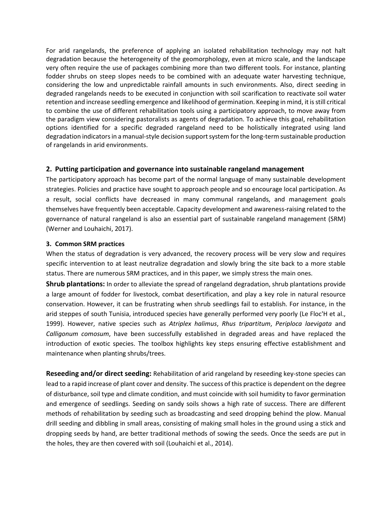For arid rangelands, the preference of applying an isolated rehabilitation technology may not halt degradation because the heterogeneity of the geomorphology, even at micro scale, and the landscape very often require the use of packages combining more than two different tools. For instance, planting fodder shrubs on steep slopes needs to be combined with an adequate water harvesting technique, considering the low and unpredictable rainfall amounts in such environments. Also, direct seeding in degraded rangelands needs to be executed in conjunction with soil scarification to reactivate soil water retention and increase seedling emergence and likelihood of germination. Keeping in mind, it is still critical to combine the use of different rehabilitation tools using a participatory approach, to move away from the paradigm view considering pastoralists as agents of degradation. To achieve this goal, rehabilitation options identified for a specific degraded rangeland need to be holistically integrated using land degradation indicators in a manual-style decision support system for the long-term sustainable production of rangelands in arid environments.

#### **2. Putting participation and governance into sustainable rangeland management**

The participatory approach has become part of the normal language of many sustainable development strategies. Policies and practice have sought to approach people and so encourage local participation. As a result, social conflicts have decreased in many communal rangelands, and management goals themselves have frequently been acceptable. Capacity development and awareness-raising related to the governance of natural rangeland is also an essential part of sustainable rangeland management (SRM) (Werner and Louhaichi, 2017).

#### **3. Common SRM practices**

When the status of degradation is very advanced, the recovery process will be very slow and requires specific intervention to at least neutralize degradation and slowly bring the site back to a more stable status. There are numerous SRM practices, and in this paper, we simply stress the main ones.

**Shrub plantations:** In order to alleviate the spread of rangeland degradation, shrub plantations provide a large amount of fodder for livestock, combat desertification, and play a key role in natural resource conservation. However, it can be frustrating when shrub seedlings fail to establish. For instance, in the arid steppes of south Tunisia, introduced species have generally performed very poorly (Le Floc'H et al., 1999). However, native species such as *Atriplex halimus*, *Rhus tripartitum*, *Periploca laevigata* and *Calligonum comosum*, have been successfully established in degraded areas and have replaced the introduction of exotic species. The toolbox highlights key steps ensuring effective establishment and maintenance when planting shrubs/trees.

**Reseeding and/or direct seeding:** Rehabilitation of arid rangeland by reseeding key-stone species can lead to a rapid increase of plant cover and density. The success of this practice is dependent on the degree of disturbance, soil type and climate condition, and must coincide with soil humidity to favor germination and emergence of seedlings. Seeding on sandy soils shows a high rate of success. There are different methods of rehabilitation by seeding such as broadcasting and seed dropping behind the plow. Manual drill seeding and dibbling in small areas, consisting of making small holes in the ground using a stick and dropping seeds by hand, are better traditional methods of sowing the seeds. Once the seeds are put in the holes, they are then covered with soil (Louhaichi et al., 2014).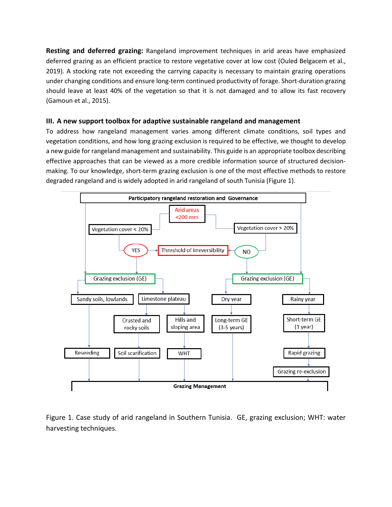**Resting and deferred grazing:** Rangeland improvement techniques in arid areas have emphasized deferred grazing as an efficient practice to restore vegetative cover at low cost (Ouled Belgacem et al., 2019). A stocking rate not exceeding the carrying capacity is necessary to maintain grazing operations under changing conditions and ensure long-term continued productivity of forage. Short-duration grazing should leave at least 40% of the vegetation so that it is not damaged and to allow its fast recovery (Gamoun et al., 2015).

#### **III. A new support toolbox for adaptive sustainable rangeland and management**

To address how rangeland management varies among different climate conditions, soil types and vegetation conditions, and how long grazing exclusion is required to be effective, we thought to develop a new guide for rangeland management and sustainability. This guide is an appropriate toolbox describing effective approaches that can be viewed as a more credible information source of structured decisionmaking. To our knowledge, short-term grazing exclusion is one of the most effective methods to restore degraded rangeland and is widely adopted in arid rangeland of south Tunisia (Figure 1).



Figure 1. Case study of arid rangeland in Southern Tunisia. GE, grazing exclusion; WHT: water harvesting techniques.